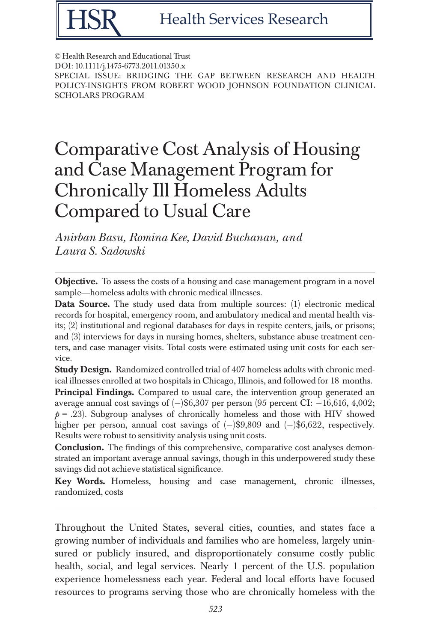

© Health Research and Educational Trust DOI: 10.1111/j.1475-6773.2011.01350.x SPECIAL ISSUE: BRIDGING THE GAP BETWEEN RESEARCH AND HEALTH POLICY-INSIGHTS FROM ROBERT WOOD JOHNSON FOUNDATION CLINICAL SCHOLARS PROGRAM

# Comparative Cost Analysis of Housing and Case Management Program for Chronically Ill Homeless Adults Compared to Usual Care

Anirban Basu, Romina Kee, David Buchanan, and Laura S. Sadowski

**Objective.** To assess the costs of a housing and case management program in a novel sample—homeless adults with chronic medical illnesses.

Data Source. The study used data from multiple sources: (1) electronic medical records for hospital, emergency room, and ambulatory medical and mental health visits; (2) institutional and regional databases for days in respite centers, jails, or prisons; and (3) interviews for days in nursing homes, shelters, substance abuse treatment centers, and case manager visits. Total costs were estimated using unit costs for each service.

Study Design. Randomized controlled trial of 407 homeless adults with chronic medical illnesses enrolled at two hospitals in Chicago, Illinois, and followed for 18 months.

Principal Findings. Compared to usual care, the intervention group generated an average annual cost savings of  $(-)$ \$6,307 per person (95 percent CI:  $-16,616, 4,002$ ;  $p = .23$ . Subgroup analyses of chronically homeless and those with HIV showed higher per person, annual cost savings of  $(-)$ \$9,809 and  $(-)$ \$6,622, respectively. Results were robust to sensitivity analysis using unit costs.

Conclusion. The findings of this comprehensive, comparative cost analyses demonstrated an important average annual savings, though in this underpowered study these savings did not achieve statistical significance.

Key Words. Homeless, housing and case management, chronic illnesses, randomized, costs

Throughout the United States, several cities, counties, and states face a growing number of individuals and families who are homeless, largely uninsured or publicly insured, and disproportionately consume costly public health, social, and legal services. Nearly 1 percent of the U.S. population experience homelessness each year. Federal and local efforts have focused resources to programs serving those who are chronically homeless with the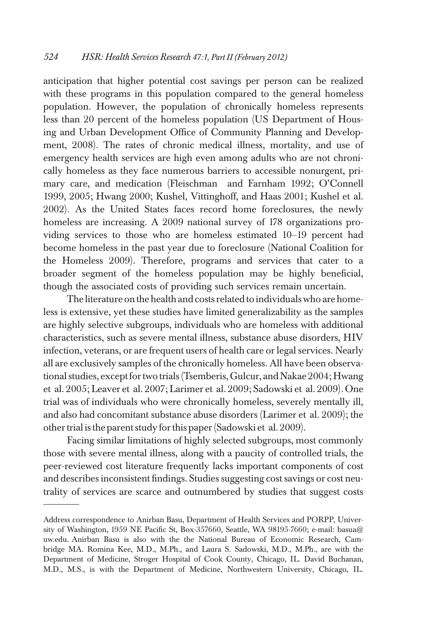anticipation that higher potential cost savings per person can be realized with these programs in this population compared to the general homeless population. However, the population of chronically homeless represents less than 20 percent of the homeless population (US Department of Housing and Urban Development Office of Community Planning and Development, 2008). The rates of chronic medical illness, mortality, and use of emergency health services are high even among adults who are not chronically homeless as they face numerous barriers to accessible nonurgent, primary care, and medication (Fleischman and Farnham 1992; O'Connell 1999, 2005; Hwang 2000; Kushel, Vittinghoff, and Haas 2001; Kushel et al. 2002). As the United States faces record home foreclosures, the newly homeless are increasing. A 2009 national survey of 178 organizations providing services to those who are homeless estimated 10–19 percent had become homeless in the past year due to foreclosure (National Coalition for the Homeless 2009). Therefore, programs and services that cater to a broader segment of the homeless population may be highly beneficial, though the associated costs of providing such services remain uncertain.

The literature onthe health and costs related to individuals who are homeless is extensive, yet these studies have limited generalizability as the samples are highly selective subgroups, individuals who are homeless with additional characteristics, such as severe mental illness, substance abuse disorders, HIV infection, veterans, or are frequent users of health care or legal services. Nearly all are exclusively samples of the chronically homeless. All have been observational studies, except for two trials (Tsemberis, Gulcur, and Nakae 2004; Hwang et al. 2005; Leaver et al. 2007; Larimer et al. 2009; Sadowski et al. 2009). One trial was of individuals who were chronically homeless, severely mentally ill, and also had concomitant substance abuse disorders (Larimer et al. 2009); the other trial isthe parent study forthis paper (Sadowski et al. 2009).

Facing similar limitations of highly selected subgroups, most commonly those with severe mental illness, along with a paucity of controlled trials, the peer-reviewed cost literature frequently lacks important components of cost and describes inconsistent findings. Studies suggesting cost savings or cost neutrality of services are scarce and outnumbered by studies that suggest costs

Address correspondence to Anirban Basu, Department of Health Services and PORPP, University of Washington, 1959 NE Pacific St, Box-357660, Seattle, WA 98195-7660; e-mail: basua@ uw.edu. Anirban Basu is also with the the National Bureau of Economic Research, Cambridge MA. Romina Kee, M.D., M.Ph., and Laura S. Sadowski, M.D., M.Ph., are with the Department of Medicine, Stroger Hospital of Cook County, Chicago, IL. David Buchanan, M.D., M.S., is with the Department of Medicine, Northwestern University, Chicago, IL.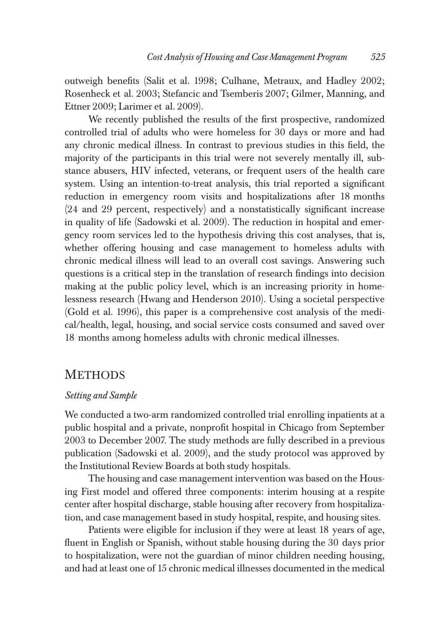outweigh benefits (Salit et al. 1998; Culhane, Metraux, and Hadley 2002; Rosenheck et al. 2003; Stefancic and Tsemberis 2007; Gilmer, Manning, and Ettner 2009; Larimer et al. 2009).

We recently published the results of the first prospective, randomized controlled trial of adults who were homeless for 30 days or more and had any chronic medical illness. In contrast to previous studies in this field, the majority of the participants in this trial were not severely mentally ill, substance abusers, HIV infected, veterans, or frequent users of the health care system. Using an intention-to-treat analysis, this trial reported a significant reduction in emergency room visits and hospitalizations after 18 months (24 and 29 percent, respectively) and a nonstatistically significant increase in quality of life (Sadowski et al. 2009). The reduction in hospital and emergency room services led to the hypothesis driving this cost analyses, that is, whether offering housing and case management to homeless adults with chronic medical illness will lead to an overall cost savings. Answering such questions is a critical step in the translation of research findings into decision making at the public policy level, which is an increasing priority in homelessness research (Hwang and Henderson 2010). Using a societal perspective (Gold et al. 1996), this paper is a comprehensive cost analysis of the medical/health, legal, housing, and social service costs consumed and saved over 18 months among homeless adults with chronic medical illnesses.

## **METHODS**

#### Setting and Sample

We conducted a two-arm randomized controlled trial enrolling inpatients at a public hospital and a private, nonprofit hospital in Chicago from September 2003 to December 2007. The study methods are fully described in a previous publication (Sadowski et al. 2009), and the study protocol was approved by the Institutional Review Boards at both study hospitals.

The housing and case management intervention was based on the Housing First model and offered three components: interim housing at a respite center after hospital discharge, stable housing after recovery from hospitalization, and case management based in study hospital, respite, and housing sites.

Patients were eligible for inclusion if they were at least 18 years of age, fluent in English or Spanish, without stable housing during the 30 days prior to hospitalization, were not the guardian of minor children needing housing, and had at least one of 15 chronic medical illnesses documented in the medical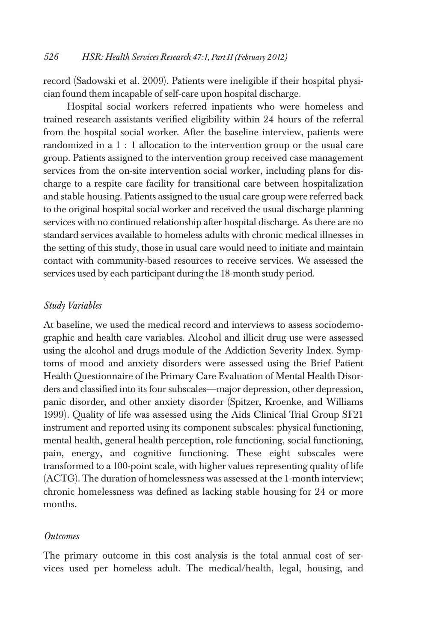record (Sadowski et al. 2009). Patients were ineligible if their hospital physician found them incapable of self-care upon hospital discharge.

Hospital social workers referred inpatients who were homeless and trained research assistants verified eligibility within 24 hours of the referral from the hospital social worker. After the baseline interview, patients were randomized in a 1 : 1 allocation to the intervention group or the usual care group. Patients assigned to the intervention group received case management services from the on-site intervention social worker, including plans for discharge to a respite care facility for transitional care between hospitalization and stable housing. Patients assigned to the usual care group were referred back to the original hospital social worker and received the usual discharge planning services with no continued relationship after hospital discharge. As there are no standard services available to homeless adults with chronic medical illnesses in the setting of this study, those in usual care would need to initiate and maintain contact with community-based resources to receive services. We assessed the services used by each participant during the 18-month study period.

### Study Variables

At baseline, we used the medical record and interviews to assess sociodemographic and health care variables. Alcohol and illicit drug use were assessed using the alcohol and drugs module of the Addiction Severity Index. Symptoms of mood and anxiety disorders were assessed using the Brief Patient Health Questionnaire of the Primary Care Evaluation of Mental Health Disorders and classified into its four subscales—major depression, other depression, panic disorder, and other anxiety disorder (Spitzer, Kroenke, and Williams 1999). Quality of life was assessed using the Aids Clinical Trial Group SF21 instrument and reported using its component subscales: physical functioning, mental health, general health perception, role functioning, social functioning, pain, energy, and cognitive functioning. These eight subscales were transformed to a 100-point scale, with higher values representing quality of life (ACTG). The duration of homelessness was assessed at the 1-month interview; chronic homelessness was defined as lacking stable housing for 24 or more months.

#### **Outcomes**

The primary outcome in this cost analysis is the total annual cost of services used per homeless adult. The medical/health, legal, housing, and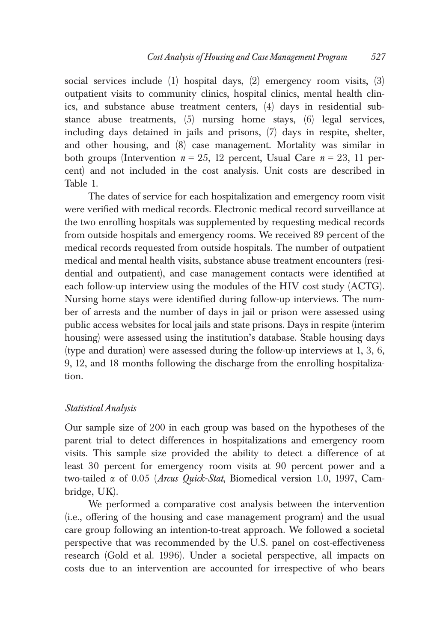social services include (1) hospital days, (2) emergency room visits, (3) outpatient visits to community clinics, hospital clinics, mental health clinics, and substance abuse treatment centers, (4) days in residential substance abuse treatments, (5) nursing home stays, (6) legal services, including days detained in jails and prisons, (7) days in respite, shelter, and other housing, and (8) case management. Mortality was similar in both groups (Intervention  $n = 25$ , 12 percent, Usual Care  $n = 23$ , 11 percent) and not included in the cost analysis. Unit costs are described in Table 1.

The dates of service for each hospitalization and emergency room visit were verified with medical records. Electronic medical record surveillance at the two enrolling hospitals was supplemented by requesting medical records from outside hospitals and emergency rooms. We received 89 percent of the medical records requested from outside hospitals. The number of outpatient medical and mental health visits, substance abuse treatment encounters (residential and outpatient), and case management contacts were identified at each follow-up interview using the modules of the HIV cost study (ACTG). Nursing home stays were identified during follow-up interviews. The number of arrests and the number of days in jail or prison were assessed using public access websites for local jails and state prisons. Days in respite (interim housing) were assessed using the institution's database. Stable housing days (type and duration) were assessed during the follow-up interviews at 1, 3, 6, 9, 12, and 18 months following the discharge from the enrolling hospitalization.

#### Statistical Analysis

Our sample size of 200 in each group was based on the hypotheses of the parent trial to detect differences in hospitalizations and emergency room visits. This sample size provided the ability to detect a difference of at least 30 percent for emergency room visits at 90 percent power and a two-tailed a of 0.05 (Arcus Quick-Stat, Biomedical version 1.0, 1997, Cambridge, UK).

We performed a comparative cost analysis between the intervention (i.e., offering of the housing and case management program) and the usual care group following an intention-to-treat approach. We followed a societal perspective that was recommended by the U.S. panel on cost-effectiveness research (Gold et al. 1996). Under a societal perspective, all impacts on costs due to an intervention are accounted for irrespective of who bears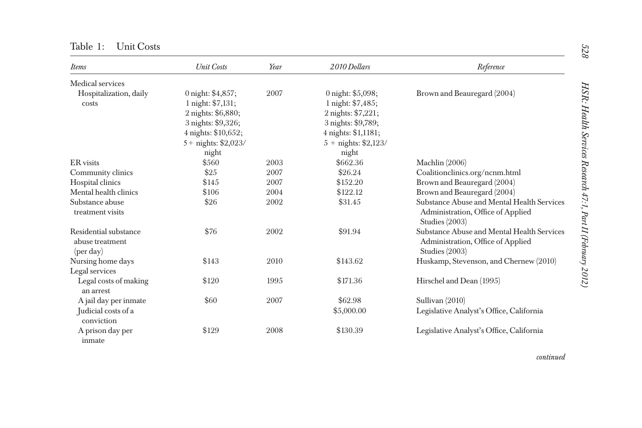| <b>Items</b>                                                   | <b>Unit Costs</b>      | Year | 2010 Dollars           | Reference                                                                                           |
|----------------------------------------------------------------|------------------------|------|------------------------|-----------------------------------------------------------------------------------------------------|
| Medical services                                               |                        |      |                        |                                                                                                     |
| Hospitalization, daily                                         | 0 night: \$4,857;      | 2007 | 0 night: \$5,098;      | Brown and Beauregard (2004)                                                                         |
| costs                                                          | 1 night: \$7,131;      |      | 1 night: \$7,485;      |                                                                                                     |
|                                                                | 2 nights: \$6,880;     |      | 2 nights: \$7,221;     |                                                                                                     |
|                                                                | 3 nights: \$9,326;     |      | 3 nights: \$9,789;     |                                                                                                     |
|                                                                | 4 nights: \$10,652;    |      | 4 nights: \$1,1181;    |                                                                                                     |
|                                                                | $5 +$ nights: \$2,023/ |      | $5 +$ nights: \$2,123/ |                                                                                                     |
|                                                                | night                  |      | night                  |                                                                                                     |
| ER visits                                                      | \$560                  | 2003 | \$662.36               | Machlin $(2006)$                                                                                    |
| Community clinics                                              | \$25                   | 2007 | \$26.24                | Coalitionclinics.org/ncnm.html                                                                      |
| Hospital clinics                                               | \$145                  | 2007 | \$152.20               | Brown and Beauregard (2004)                                                                         |
| Mental health clinics                                          | \$106                  | 2004 | \$122.12               | Brown and Beauregard (2004)                                                                         |
| Substance abuse<br>treatment visits                            | \$26                   | 2002 | \$31.45                | Substance Abuse and Mental Health Services<br>Administration, Office of Applied<br>Studies $(2003)$ |
| Residential substance<br>abuse treatment<br>$(\text{per day})$ | \$76                   | 2002 | \$91.94                | Substance Abuse and Mental Health Services<br>Administration, Office of Applied<br>Studies (2003)   |
| Nursing home days                                              | \$143                  | 2010 | \$143.62               | Huskamp, Stevenson, and Chernew (2010)                                                              |
| Legal services                                                 |                        |      |                        |                                                                                                     |
| Legal costs of making                                          | \$120                  | 1995 | \$171.36               | Hirschel and Dean (1995)                                                                            |
| an arrest                                                      |                        |      |                        |                                                                                                     |
| A jail day per inmate                                          | \$60                   | 2007 | \$62.98                | Sullivan (2010)                                                                                     |
| Judicial costs of a                                            |                        |      | \$5,000.00             | Legislative Analyst's Office, California                                                            |
| conviction                                                     |                        |      |                        |                                                                                                     |
| A prison day per<br>inmate                                     | \$129                  | 2008 | \$130.39               | Legislative Analyst's Office, California                                                            |

Table 1: Unit Costs

continued

 $528\,$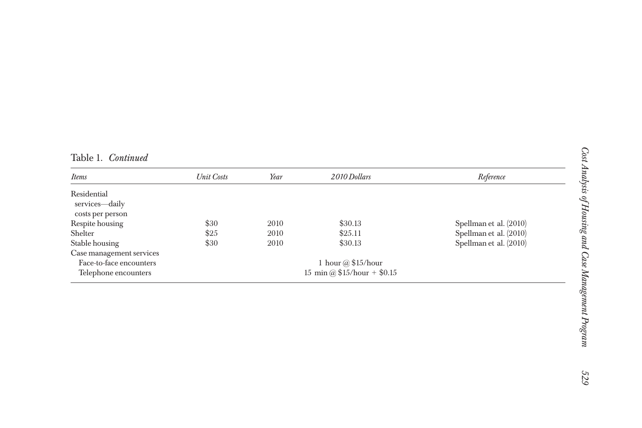| Table 1. | Continued |
|----------|-----------|
|          |           |

| <i>Items</i>             | Unit Costs                  | Year | 2010 Dollars              | Reference              |
|--------------------------|-----------------------------|------|---------------------------|------------------------|
| Residential              |                             |      |                           |                        |
| services—daily           |                             |      |                           |                        |
| costs per person         |                             |      |                           |                        |
| Respite housing          | \$30                        | 2010 | \$30.13                   | Spellman et al. (2010) |
| Shelter                  | \$25                        | 2010 | \$25.11                   | Spellman et al. (2010) |
| Stable housing           | \$30                        | 2010 | \$30.13                   | Spellman et al. (2010) |
| Case management services |                             |      |                           |                        |
| Face-to-face encounters  |                             |      | 1 hour $\omega$ \$15/hour |                        |
| Telephone encounters     | 15 min @ $$15/hour + $0.15$ |      |                           |                        |

 $\equiv$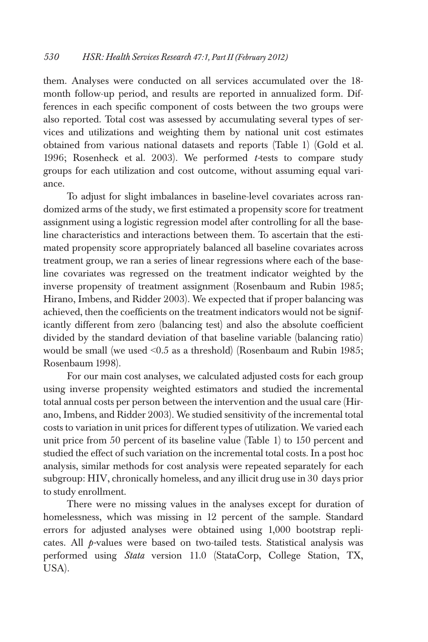them. Analyses were conducted on all services accumulated over the 18 month follow-up period, and results are reported in annualized form. Differences in each specific component of costs between the two groups were also reported. Total cost was assessed by accumulating several types of services and utilizations and weighting them by national unit cost estimates obtained from various national datasets and reports (Table 1) (Gold et al. 1996; Rosenheck et al. 2003). We performed  $t$ -tests to compare study groups for each utilization and cost outcome, without assuming equal variance.

To adjust for slight imbalances in baseline-level covariates across randomized arms of the study, we first estimated a propensity score for treatment assignment using a logistic regression model after controlling for all the baseline characteristics and interactions between them. To ascertain that the estimated propensity score appropriately balanced all baseline covariates across treatment group, we ran a series of linear regressions where each of the baseline covariates was regressed on the treatment indicator weighted by the inverse propensity of treatment assignment (Rosenbaum and Rubin 1985; Hirano, Imbens, and Ridder 2003). We expected that if proper balancing was achieved, then the coefficients on the treatment indicators would not be significantly different from zero (balancing test) and also the absolute coefficient divided by the standard deviation of that baseline variable (balancing ratio) would be small (we used <0.5 as a threshold) (Rosenbaum and Rubin 1985; Rosenbaum 1998).

For our main cost analyses, we calculated adjusted costs for each group using inverse propensity weighted estimators and studied the incremental total annual costs per person between the intervention and the usual care (Hirano, Imbens, and Ridder 2003). We studied sensitivity of the incremental total costs to variation in unit prices for different types of utilization. We varied each unit price from 50 percent of its baseline value (Table 1) to 150 percent and studied the effect of such variation on the incremental total costs. In a post hoc analysis, similar methods for cost analysis were repeated separately for each subgroup: HIV, chronically homeless, and any illicit drug use in 30 days prior to study enrollment.

There were no missing values in the analyses except for duration of homelessness, which was missing in 12 percent of the sample. Standard errors for adjusted analyses were obtained using 1,000 bootstrap replicates. All *p*-values were based on two-tailed tests. Statistical analysis was performed using Stata version 11.0 (StataCorp, College Station, TX, USA).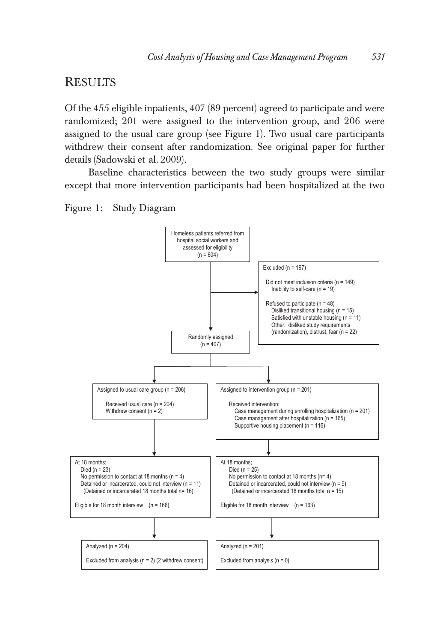## **RESULTS**

Of the 455 eligible inpatients, 407 (89 percent) agreed to participate and were randomized; 201 were assigned to the intervention group, and 206 were assigned to the usual care group (see Figure 1). Two usual care participants withdrew their consent after randomization. See original paper for further details (Sadowski et al. 2009).

Baseline characteristics between the two study groups were similar except that more intervention participants had been hospitalized at the two



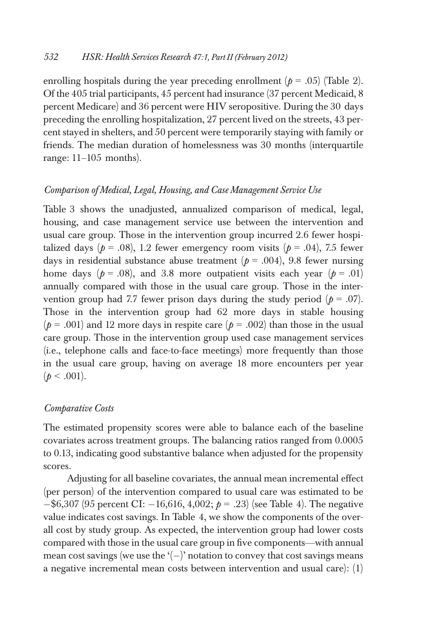enrolling hospitals during the year preceding enrollment ( $p = .05$ ) (Table 2). Of the 405 trial participants, 45 percent had insurance (37 percent Medicaid, 8 percent Medicare) and 36 percent were HIV seropositive. During the 30 days preceding the enrolling hospitalization, 27 percent lived on the streets, 43 percent stayed in shelters, and 50 percent were temporarily staying with family or friends. The median duration of homelessness was 30 months (interquartile range: 11–105 months).

### Comparison of Medical, Legal, Housing, and Case Management Service Use

Table 3 shows the unadjusted, annualized comparison of medical, legal, housing, and case management service use between the intervention and usual care group. Those in the intervention group incurred 2.6 fewer hospitalized days ( $p = .08$ ), 1.2 fewer emergency room visits ( $p = .04$ ), 7.5 fewer days in residential substance abuse treatment ( $p = .004$ ), 9.8 fewer nursing home days ( $p = .08$ ), and 3.8 more outpatient visits each year ( $p = .01$ ) annually compared with those in the usual care group. Those in the intervention group had 7.7 fewer prison days during the study period  $(p = .07)$ . Those in the intervention group had 62 more days in stable housing  $(p = .001)$  and 12 more days in respite care  $(p = .002)$  than those in the usual care group. Those in the intervention group used case management services (i.e., telephone calls and face-to-face meetings) more frequently than those in the usual care group, having on average 18 more encounters per year  $(p < .001)$ .

#### Comparative Costs

The estimated propensity scores were able to balance each of the baseline covariates across treatment groups. The balancing ratios ranged from 0.0005 to 0.13, indicating good substantive balance when adjusted for the propensity scores.

Adjusting for all baseline covariates, the annual mean incremental effect (per person) of the intervention compared to usual care was estimated to be  $-$ \$6,307 (95 percent CI:  $-16,616, 4,002; p = .23$ ) (see Table 4). The negative value indicates cost savings. In Table 4, we show the components of the overall cost by study group. As expected, the intervention group had lower costs compared with those in the usual care group in five components—with annual mean cost savings (we use the  $(-)$  notation to convey that cost savings means a negative incremental mean costs between intervention and usual care): (1)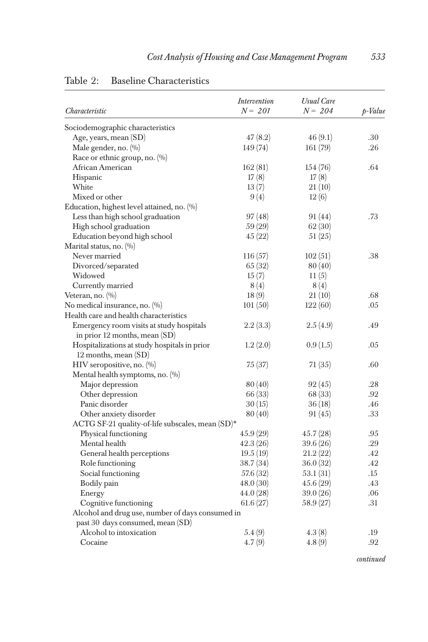| Characteristic                                   | Intervention<br>$N = 201$ | <b>Usual Care</b><br>$N = 204$ | p-Value |
|--------------------------------------------------|---------------------------|--------------------------------|---------|
| Sociodemographic characteristics                 |                           |                                |         |
| Age, years, mean (SD)                            | 47(8.2)                   | 46(9.1)                        | .30     |
| Male gender, no. (%)                             | 149(74)                   | 161(79)                        | .26     |
| Race or ethnic group, no. $(\% )$                |                           |                                |         |
| African American                                 | 162(81)                   | 154(76)                        | .64     |
| Hispanic                                         | 17(8)                     | 17(8)                          |         |
| White                                            | 13(7)                     | 21(10)                         |         |
| Mixed or other                                   | 9(4)                      | 12(6)                          |         |
| Education, highest level attained, no. (%)       |                           |                                |         |
| Less than high school graduation                 | 97 (48)                   | 91 (44)                        | .73     |
| High school graduation                           | 59(29)                    | 62 (30)                        |         |
| Education beyond high school                     | 45(22)                    | 51(25)                         |         |
| Marital status, no. (%)                          |                           |                                |         |
| Never married                                    | 116(57)                   | 102(51)                        | .38     |
| Divorced/separated                               | 65 (32)                   | 80 (40)                        |         |
| Widowed                                          | 15(7)                     | 11(5)                          |         |
| Currently married                                | 8(4)                      | 8(4)                           |         |
| Veteran, no. $(\%)$                              | 18(9)                     | 21(10)                         | .68     |
| No medical insurance, no. (%)                    | 101(50)                   | 122(60)                        | .05     |
| Health care and health characteristics           |                           |                                |         |
| Emergency room visits at study hospitals         | 2.2(3.3)                  | 2.5(4.9)                       | .49     |
| in prior 12 months, mean (SD)                    |                           |                                |         |
| Hospitalizations at study hospitals in prior     | 1.2(2.0)                  | 0.9(1.5)                       | .05     |
| 12 months, mean (SD)                             |                           |                                |         |
| HIV seropositive, no. $(\%$                      | 75 (37)                   | 71 (35)                        | .60     |
| Mental health symptoms, no. (%)                  |                           |                                |         |
| Major depression                                 | 80 (40)                   | 92(45)                         | .28     |
| Other depression                                 | 66 (33)                   | 68 (33)                        | .92     |
| Panic disorder                                   | 30(15)                    | 36(18)                         | .46     |
| Other anxiety disorder                           | 80 (40)                   | 91 (45)                        | .33     |
| ACTG SF-21 quality-of-life subscales, mean (SD)* |                           |                                |         |
| Physical functioning                             | 45.9(29)                  | 45.7 (28)                      | .95     |
| Mental health                                    | 42.3(26)                  | 39.6 (26)                      | .29     |
| General health perceptions                       | 19.5(19)                  | 21.2(22)                       | .42     |
| Role functioning                                 | 38.7(34)                  | 36.0 (32)                      | .42     |
| Social functioning                               | 57.6 (32)                 | 53.1 (31)                      | .15     |
| Bodily pain                                      | 48.0 (30)                 | 45.6 (29)                      | .43     |
| Energy                                           | 44.0 (28)                 | 39.0(26)                       | .06     |
| Cognitive functioning                            | 61.6(27)                  | 58.9 (27)                      | .31     |
| Alcohol and drug use, number of days consumed in |                           |                                |         |
| past 30 days consumed, mean (SD)                 |                           |                                |         |
| Alcohol to intoxication                          | 5.4(9)                    | 4.3(8)                         | .19     |
| Cocaine                                          | 4.7(9)                    | 4.8(9)                         | .92     |

## Table 2: Baseline Characteristics

continued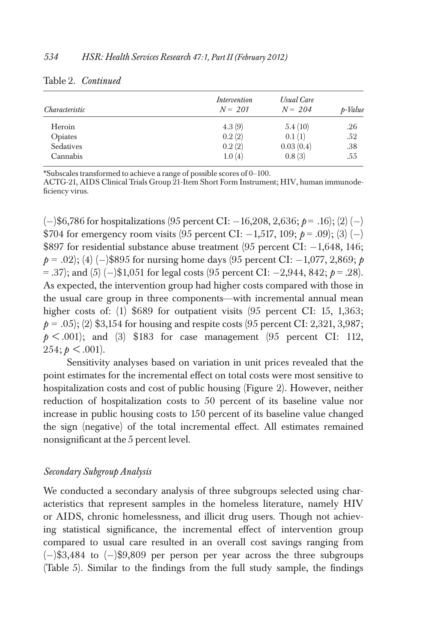| Characteristic | Intervention<br>$N = 201$ | Usual Care<br>$N = 204$ | p-Value |
|----------------|---------------------------|-------------------------|---------|
|                |                           |                         |         |
| Heroin         | 4.3(9)                    | 5.4(10)                 | .26     |
| Opiates        | 0.2(2)                    | 0.1(1)                  | .52     |
| Sedatives      | 0.2(2)                    | 0.03(0.4)               | .38     |
| Cannabis       | 1.0(4)                    | 0.8(3)                  | .55     |

#### Table 2. Continued

\*Subscales transformed to achieve a range of possible scores of 0–100.

ACTG-21, AIDS Clinical Trials Group 21-Item Short Form Instrument; HIV, human immunodeficiency virus.

 $(-)$ \$6,786 for hospitalizations (95 percent CI:  $-16,208, 2,636; p = .16$ ); (2) (-) \$704 for emergency room visits  $(95 \text{ percent CI: } -1,517, 109; \ p = .09)$ ;  $(3) (-)$ \$897 for residential substance abuse treatment (95 percent CI:  $-1,648, 146$ ;  $p = .02$ ; (4) (-)\$895 for nursing home days (95 percent CI: -1,077, 2,869; p  $=$  .37); and (5) (-)\$1,051 for legal costs (95 percent CI: -2,944, 842;  $p = .28$ ). As expected, the intervention group had higher costs compared with those in the usual care group in three components—with incremental annual mean higher costs of: (1) \$689 for outpatient visits (95 percent CI: 15, 1,363;  $p = .05$ ; (2) \$3,154 for housing and respite costs (95 percent CI: 2,321, 3,987;  $p < .001$ ; and (3) \$183 for case management (95 percent CI: 112,  $254$ ;  $p < .001$ ).

Sensitivity analyses based on variation in unit prices revealed that the point estimates for the incremental effect on total costs were most sensitive to hospitalization costs and cost of public housing (Figure 2). However, neither reduction of hospitalization costs to 50 percent of its baseline value nor increase in public housing costs to 150 percent of its baseline value changed the sign (negative) of the total incremental effect. All estimates remained nonsignificant at the 5 percent level.

## Secondary Subgroup Analysis

We conducted a secondary analysis of three subgroups selected using characteristics that represent samples in the homeless literature, namely HIV or AIDS, chronic homelessness, and illicit drug users. Though not achieving statistical significance, the incremental effect of intervention group compared to usual care resulted in an overall cost savings ranging from  $(-)$ \$3,484 to  $(-)$ \$9,809 per person per year across the three subgroups (Table 5). Similar to the findings from the full study sample, the findings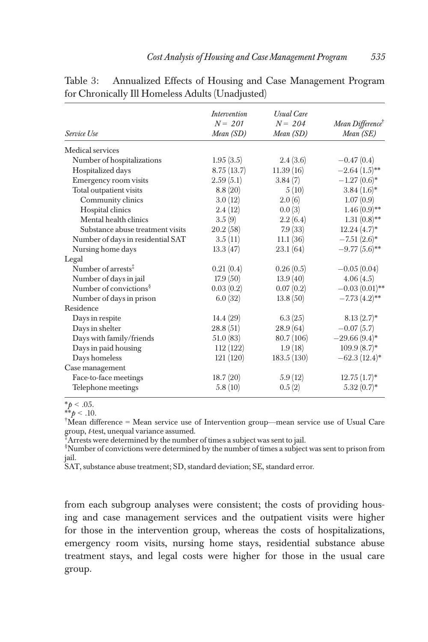|                                    | <i>Intervention</i><br>$N = 201$ | <b>Usual Care</b><br>$N = 204$ | Mean Difference <sup>†</sup> |
|------------------------------------|----------------------------------|--------------------------------|------------------------------|
| Service Use                        | Mean(SD)                         | Mean (SD)                      | Mean (SE)                    |
| Medical services                   |                                  |                                |                              |
| Number of hospitalizations         | 1.95(3.5)                        | 2.4(3.6)                       | $-0.47(0.4)$                 |
| Hospitalized days                  | 8.75(13.7)                       | 11.39(16)                      | $-2.64(1.5)$ **              |
| Emergency room visits              | 2.59(5.1)                        | 3.84(7)                        | $-1.27(0.6)^*$               |
| Total outpatient visits            | 8.8(20)                          | 5(10)                          | $3.84(1.6)*$                 |
| Community clinics                  | 3.0(12)                          | 2.0(6)                         | 1.07(0.9)                    |
| Hospital clinics                   | 2.4(12)                          | 0.0(3)                         | $1.46(0.9)$ **               |
| Mental health clinics              | 3.5(9)                           | 2.2(6.4)                       | $1.31(0.8)$ **               |
| Substance abuse treatment visits   | 20.2(58)                         | 7.9(33)                        | $12.24(4.7)^*$               |
| Number of days in residential SAT  | 3.5(11)                          | 11.1(36)                       | $-7.51(2.6)$ *               |
| Nursing home days                  | 13.3(47)                         | 23.1(64)                       | $-9.77(5.6)$ **              |
| Legal                              |                                  |                                |                              |
| Number of arrests <sup>†</sup>     | 0.21(0.4)                        | 0.26(0.5)                      | $-0.05(0.04)$                |
| Number of days in jail             | 17.9(50)                         | 13.9(40)                       | 4.06(4.5)                    |
| Number of convictions <sup>§</sup> | 0.03(0.2)                        | 0.07(0.2)                      | $-0.03(0.01)$ **             |
| Number of days in prison           | 6.0(32)                          | 13.8(50)                       | $-7.73(4.2)$ **              |
| Residence                          |                                  |                                |                              |
| Days in respite                    | 14.4(29)                         | 6.3(25)                        | $8.13(2.7)^*$                |
| Days in shelter                    | 28.8(51)                         | 28.9(64)                       | $-0.07(5.7)$                 |
| Days with family/friends           | 51.0(83)                         | 80.7(106)                      | $-29.66(9.4)$ *              |
| Days in paid housing               | 112(122)                         | 1.9(18)                        | $109.9(8.7)^*$               |
| Days homeless                      | 121(120)                         | 183.5(130)                     | $-62.3(12.4)$ *              |
| Case management                    |                                  |                                |                              |
| Face-to-face meetings              | 18.7(20)                         | 5.9(12)                        | $12.75(1.7)^*$               |
| Telephone meetings                 | 5.8(10)                          | 0.5(2)                         | $5.32(0.7)^*$                |

Table 3: Annualized Effects of Housing and Case Management Program for Chronically Ill Homeless Adults (Unadjusted)

\* $p < .05$ .

\*\* $p < .10$ .

† Mean difference = Mean service use of Intervention group—mean service use of Usual Care group, <sup>t</sup>-test, unequal variance assumed. ‡ Arrests were determined by the number of times a subject was sent to jail.

§ Number of convictions were determined by the number of times a subject was sent to prison from jail.

SAT, substance abuse treatment; SD, standard deviation; SE, standard error.

from each subgroup analyses were consistent; the costs of providing housing and case management services and the outpatient visits were higher for those in the intervention group, whereas the costs of hospitalizations, emergency room visits, nursing home stays, residential substance abuse treatment stays, and legal costs were higher for those in the usual care group.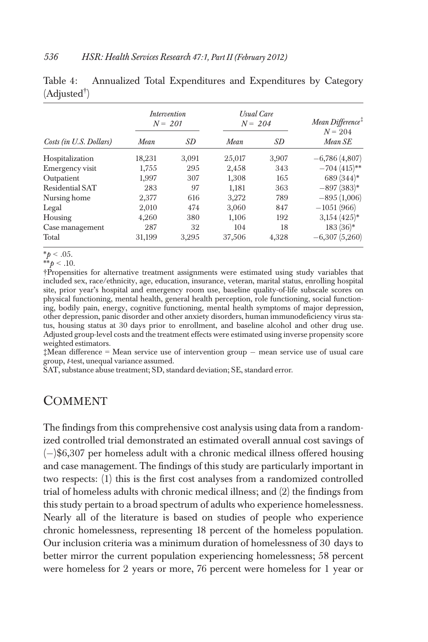|                          |  |  | Table 4: Annualized Total Expenditures and Expenditures by Category |  |
|--------------------------|--|--|---------------------------------------------------------------------|--|
| (Adjusted <sup>†</sup> ) |  |  |                                                                     |  |

|                         | <i>Intervention</i><br>$N = 201$ |       | <b>Usual Care</b><br>$N = 204$ |       | Mean Difference <sup>‡</sup><br>$N = 204$ |
|-------------------------|----------------------------------|-------|--------------------------------|-------|-------------------------------------------|
| Costs (in U.S. Dollars) | Mean                             | SD    | Mean                           | SD    | Mean SE                                   |
| Hospitalization         | 18,231                           | 3.091 | 25,017                         | 3.907 | $-6,786(4,807)$                           |
| Emergency visit         | 1,755                            | 295   | 2,458                          | 343   | $-704(415)$ **                            |
| Outpatient              | 1,997                            | 307   | 1.308                          | 165   | $689(344)$ *                              |
| Residential SAT         | 283                              | 97    | 1,181                          | 363   | $-897(383)*$                              |
| Nursing home            | 2,377                            | 616   | 3.272                          | 789   | $-895(1,006)$                             |
| Legal                   | 2,010                            | 474   | 3,060                          | 847   | $-1051(966)$                              |
| Housing                 | 4,260                            | 380   | 1.106                          | 192   | $3,154$ (425) <sup>*</sup>                |
| Case management         | 287                              | 32    | 104                            | 18    | $183(36)*$                                |
| Total                   | 31,199                           | 3,295 | 37,506                         | 4,328 | $-6,307(5,260)$                           |

 $*_{p}$  < .05.

†Propensities for alternative treatment assignments were estimated using study variables that included sex, race/ethnicity, age, education, insurance, veteran, marital status, enrolling hospital site, prior year's hospital and emergency room use, baseline quality-of-life subscale scores on physical functioning, mental health, general health perception, role functioning, social functioning, bodily pain, energy, cognitive functioning, mental health symptoms of major depression, other depression, panic disorder and other anxiety disorders, human immunodeficiency virus status, housing status at 30 days prior to enrollment, and baseline alcohol and other drug use. Adjusted group-level costs and the treatment effects were estimated using inverse propensity score weighted estimators.

 $\ddagger$ Mean difference = Mean service use of intervention group  $-$  mean service use of usual care group, t-test, unequal variance assumed.

SAT, substance abuse treatment; SD, standard deviation; SE, standard error.

## COMMENT

The findings from this comprehensive cost analysis using data from a randomized controlled trial demonstrated an estimated overall annual cost savings of  $(-)$ \$6,307 per homeless adult with a chronic medical illness offered housing and case management. The findings of this study are particularly important in two respects: (1) this is the first cost analyses from a randomized controlled trial of homeless adults with chronic medical illness; and (2) the findings from this study pertain to a broad spectrum of adults who experience homelessness. Nearly all of the literature is based on studies of people who experience chronic homelessness, representing 18 percent of the homeless population. Our inclusion criteria was a minimum duration of homelessness of 30 days to better mirror the current population experiencing homelessness; 58 percent were homeless for 2 years or more, 76 percent were homeless for 1 year or

<sup>\*\*</sup> $p < .10$ .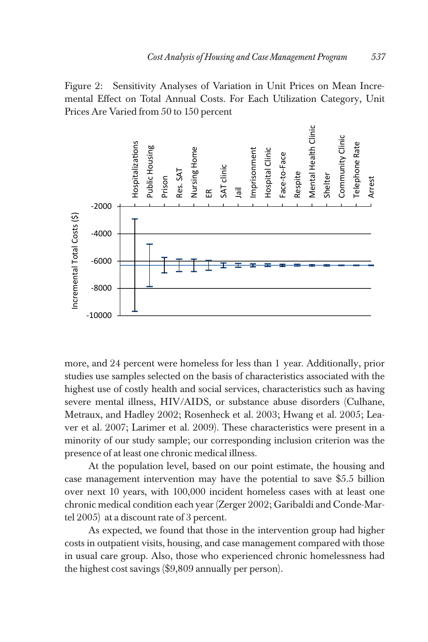Figure 2: Sensitivity Analyses of Variation in Unit Prices on Mean Incremental Effect on Total Annual Costs. For Each Utilization Category, Unit Prices Are Varied from 50 to 150 percent



more, and 24 percent were homeless for less than 1 year. Additionally, prior studies use samples selected on the basis of characteristics associated with the highest use of costly health and social services, characteristics such as having severe mental illness, HIV/AIDS, or substance abuse disorders (Culhane, Metraux, and Hadley 2002; Rosenheck et al. 2003; Hwang et al. 2005; Leaver et al. 2007; Larimer et al. 2009). These characteristics were present in a minority of our study sample; our corresponding inclusion criterion was the presence of at least one chronic medical illness.

At the population level, based on our point estimate, the housing and case management intervention may have the potential to save \$5.5 billion over next 10 years, with 100,000 incident homeless cases with at least one chronic medical condition each year (Zerger 2002; Garibaldi and Conde-Martel 2005) at a discount rate of 3 percent.

As expected, we found that those in the intervention group had higher costs in outpatient visits, housing, and case management compared with those in usual care group. Also, those who experienced chronic homelessness had the highest cost savings (\$9,809 annually per person).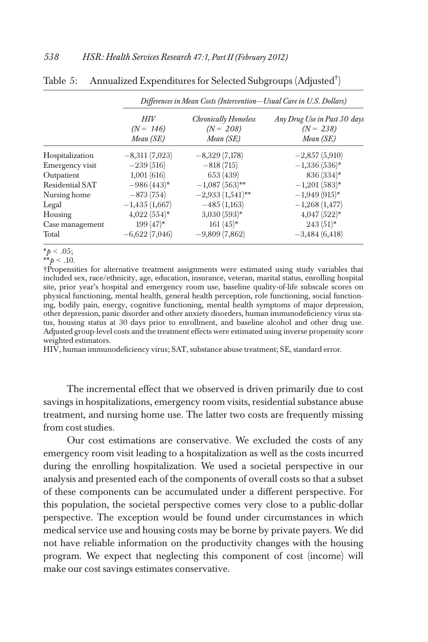|                 | Differences in Mean Costs (Intervention-Usual Care in U.S. Dollars) |                                     |                                             |  |  |
|-----------------|---------------------------------------------------------------------|-------------------------------------|---------------------------------------------|--|--|
|                 | HIV<br>$(N = 146)$                                                  | Chronically Homeless<br>$(N = 208)$ | Any Drug Use in Past 30 days<br>$(N = 238)$ |  |  |
|                 | Mean (SE)                                                           | Mean (SE)                           | Mean (SE)                                   |  |  |
| Hospitalization | $-8,311(7,023)$                                                     | $-8,329(7,178)$                     | $-2,857(5,910)$                             |  |  |
| Emergency visit | $-239(516)$                                                         | $-818(715)$                         | $-1,336(536)^*$                             |  |  |
| Outpatient      | 1,001(616)                                                          | 653 (439)                           | $836(334)*$                                 |  |  |
| Residential SAT | $-986(443)^*$                                                       | $-1,087(563)$ **                    | $-1,201(583)*$                              |  |  |
| Nursing home    | $-873(754)$                                                         | $-2,933(1,541)$ **                  | $-1,949(915)*$                              |  |  |
| Legal           | $-1,435(1,667)$                                                     | $-485(1,163)$                       | $-1,268(1,477)$                             |  |  |
| Housing         | $4,022(554)*$                                                       | $3,030(593)*$                       | $4,047(522)*$                               |  |  |
| Case management | $199(47)^*$                                                         | $161(45)^*$                         | $243(51)^*$                                 |  |  |
| Total           | $-6,622(7,046)$                                                     | $-9,809(7,862)$                     | $-3,484(6,418)$                             |  |  |

Table 5: Annualized Expenditures for Selected Subgroups (Adjusted† )

\*\* $p < .10$ .

†Propensities for alternative treatment assignments were estimated using study variables that included sex, race/ethnicity, age, education, insurance, veteran, marital status, enrolling hospital site, prior year's hospital and emergency room use, baseline quality-of-life subscale scores on physical functioning, mental health, general health perception, role functioning, social functioning, bodily pain, energy, cognitive functioning, mental health symptoms of major depression, other depression, panic disorder and other anxiety disorders, human immunodeficiency virus status, housing status at 30 days prior to enrollment, and baseline alcohol and other drug use. Adjusted group-level costs and the treatment effects were estimated using inverse propensity score weighted estimators.

HIV, human immunodeficiency virus; SAT, substance abuse treatment; SE, standard error.

The incremental effect that we observed is driven primarily due to cost savings in hospitalizations, emergency room visits, residential substance abuse treatment, and nursing home use. The latter two costs are frequently missing from cost studies.

Our cost estimations are conservative. We excluded the costs of any emergency room visit leading to a hospitalization as well as the costs incurred during the enrolling hospitalization. We used a societal perspective in our analysis and presented each of the components of overall costs so that a subset of these components can be accumulated under a different perspective. For this population, the societal perspective comes very close to a public-dollar perspective. The exception would be found under circumstances in which medical service use and housing costs may be borne by private payers. We did not have reliable information on the productivity changes with the housing program. We expect that neglecting this component of cost (income) will make our cost savings estimates conservative.

 $*_{p}$  < .05;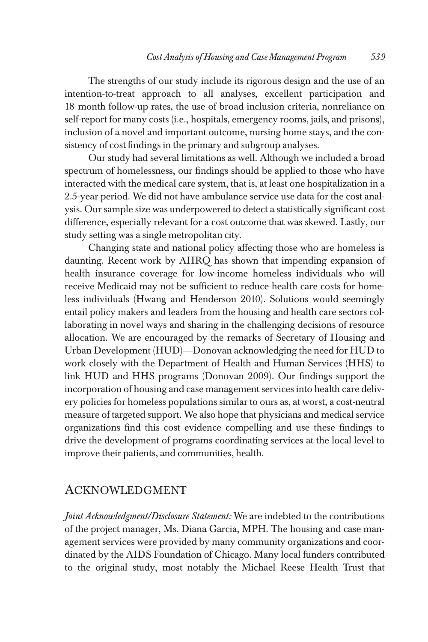The strengths of our study include its rigorous design and the use of an intention-to-treat approach to all analyses, excellent participation and 18 month follow-up rates, the use of broad inclusion criteria, nonreliance on self-report for many costs (i.e., hospitals, emergency rooms, jails, and prisons), inclusion of a novel and important outcome, nursing home stays, and the consistency of cost findings in the primary and subgroup analyses.

Our study had several limitations as well. Although we included a broad spectrum of homelessness, our findings should be applied to those who have interacted with the medical care system, that is, at least one hospitalization in a 2.5-year period. We did not have ambulance service use data for the cost analysis. Our sample size was underpowered to detect a statistically significant cost difference, especially relevant for a cost outcome that was skewed. Lastly, our study setting was a single metropolitan city.

Changing state and national policy affecting those who are homeless is daunting. Recent work by AHRQ has shown that impending expansion of health insurance coverage for low-income homeless individuals who will receive Medicaid may not be sufficient to reduce health care costs for homeless individuals (Hwang and Henderson 2010). Solutions would seemingly entail policy makers and leaders from the housing and health care sectors collaborating in novel ways and sharing in the challenging decisions of resource allocation. We are encouraged by the remarks of Secretary of Housing and Urban Development (HUD)—Donovan acknowledging the need for HUD to work closely with the Department of Health and Human Services (HHS) to link HUD and HHS programs (Donovan 2009). Our findings support the incorporation of housing and case management services into health care delivery policies for homeless populations similar to ours as, at worst, a cost-neutral measure of targeted support. We also hope that physicians and medical service organizations find this cost evidence compelling and use these findings to drive the development of programs coordinating services at the local level to improve their patients, and communities, health.

## ACKNOWLEDGMENT

Joint Acknowledgment/Disclosure Statement: We are indebted to the contributions of the project manager, Ms. Diana Garcia, MPH. The housing and case management services were provided by many community organizations and coordinated by the AIDS Foundation of Chicago. Many local funders contributed to the original study, most notably the Michael Reese Health Trust that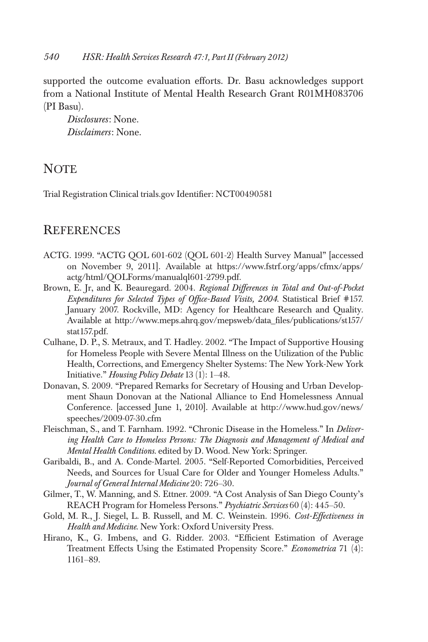supported the outcome evaluation efforts. Dr. Basu acknowledges support from a National Institute of Mental Health Research Grant R01MH083706 (PI Basu).

Disclosures: None. Disclaimers: None.

# **NOTE**

Trial Registration Clinical trials.gov Identifier: NCT00490581

## **REFERENCES**

- ACTG. 1999. "ACTG QOL 601-602 (QOL 601-2) Health Survey Manual" [accessed on November 9, 2011]. Available at https://www.fstrf.org/apps/cfmx/apps/ actg/html/QOLForms/manualql601-2799.pdf.
- Brown, E. Jr, and K. Beauregard. 2004. Regional Differences in Total and Out-of-Pocket Expenditures for Selected Types of Office-Based Visits, 2004. Statistical Brief #157. January 2007. Rockville, MD: Agency for Healthcare Research and Quality. Available at http://www.meps.ahrq.gov/mepsweb/data\_files/publications/st157/ stat157.pdf.
- Culhane, D. P., S. Metraux, and T. Hadley. 2002. "The Impact of Supportive Housing for Homeless People with Severe Mental Illness on the Utilization of the Public Health, Corrections, and Emergency Shelter Systems: The New York-New York Initiative." Housing Policy Debate 13 (1): 1–48.
- Donavan, S. 2009. "Prepared Remarks for Secretary of Housing and Urban Development Shaun Donovan at the National Alliance to End Homelessness Annual Conference. [accessed June 1, 2010]. Available at http://www.hud.gov/news/ speeches/2009-07-30.cfm
- Fleischman, S., and T. Farnham. 1992. "Chronic Disease in the Homeless." In Delivering Health Care to Homeless Persons: The Diagnosis and Management of Medical and Mental Health Conditions. edited by D. Wood. New York: Springer.
- Garibaldi, B., and A. Conde-Martel. 2005. "Self-Reported Comorbidities, Perceived Needs, and Sources for Usual Care for Older and Younger Homeless Adults." Journal of General Internal Medicine 20: 726–30.
- Gilmer, T., W. Manning, and S. Ettner. 2009. "A Cost Analysis of San Diego County's REACH Program for Homeless Persons." Psychiatric Services 60 (4): 445–50.
- Gold, M. R., J. Siegel, L. B. Russell, and M. C. Weinstein. 1996. Cost-Effectiveness in Health and Medicine. New York: Oxford University Press.
- Hirano, K., G. Imbens, and G. Ridder. 2003. "Efficient Estimation of Average Treatment Effects Using the Estimated Propensity Score." Econometrica 71 (4): 1161–89.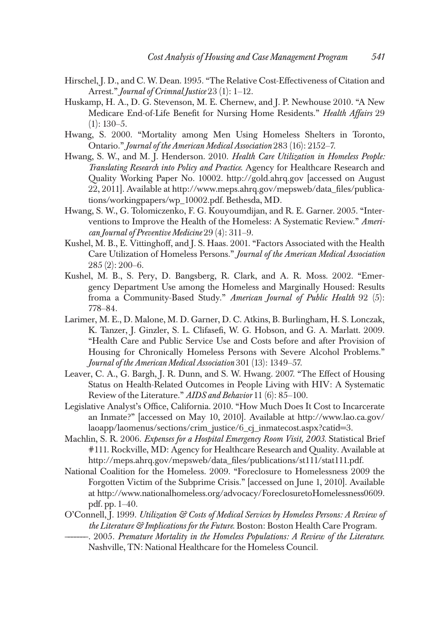- Hirschel, J. D., and C. W. Dean. 1995. "The Relative Cost-Effectiveness of Citation and Arrest." *Journal of Crimnal Justice* 23 (1): 1-12.
- Huskamp, H. A., D. G. Stevenson, M. E. Chernew, and J. P. Newhouse 2010. "A New Medicare End-of-Life Benefit for Nursing Home Residents." Health Affairs 29  $(1): 130-5.$
- Hwang, S. 2000. "Mortality among Men Using Homeless Shelters in Toronto, Ontario." Journal of the American Medical Association 283 (16): 2152–7.
- Hwang, S. W., and M. J. Henderson. 2010. Health Care Utilization in Homeless People: Translating Research into Policy and Practice. Agency for Healthcare Research and Quality Working Paper No. 10002. http://gold.ahrq.gov [accessed on August 22, 2011]. Available at http://www.meps.ahrq.gov/mepsweb/data\_files/publications/workingpapers/wp\_10002.pdf. Bethesda, MD.
- Hwang, S. W., G. Tolomiczenko, F. G. Kouyoumdijan, and R. E. Garner. 2005. "Interventions to Improve the Health of the Homeless: A Systematic Review." American Journal of Preventive Medicine 29 (4): 311–9.
- Kushel, M. B., E. Vittinghoff, and J. S. Haas. 2001. "Factors Associated with the Health Care Utilization of Homeless Persons." Journal of the American Medical Association 285 (2): 200–6.
- Kushel, M. B., S. Pery, D. Bangsberg, R. Clark, and A. R. Moss. 2002. "Emergency Department Use among the Homeless and Marginally Housed: Results froma a Community-Based Study." American Journal of Public Health 92 (5): 778–84.
- Larimer, M. E., D. Malone, M. D. Garner, D. C. Atkins, B. Burlingham, H. S. Lonczak, K. Tanzer, J. Ginzler, S. L. Clifasefi, W. G. Hobson, and G. A. Marlatt. 2009. "Health Care and Public Service Use and Costs before and after Provision of Housing for Chronically Homeless Persons with Severe Alcohol Problems." Journal of the American Medical Association 301 (13): 1349–57.
- Leaver, C. A., G. Bargh, J. R. Dunn, and S. W. Hwang. 2007. "The Effect of Housing Status on Health-Related Outcomes in People Living with HIV: A Systematic Review of the Literature." AIDS and Behavior 11 (6): 85-100.
- Legislative Analyst's Office, California. 2010. "How Much Does It Cost to Incarcerate an Inmate?" [accessed on May 10, 2010]. Available at http://www.lao.ca.gov/ laoapp/laomenus/sections/crim\_justice/6\_cj\_inmatecost.aspx?catid=3.
- Machlin, S. R. 2006. Expenses for a Hospital Emergency Room Visit, 2003. Statistical Brief #111. Rockville, MD: Agency for Healthcare Research and Quality. Available at http://meps.ahrq.gov/mepsweb/data\_files/publications/st111/stat111.pdf.
- National Coalition for the Homeless. 2009. "Foreclosure to Homelessness 2009 the Forgotten Victim of the Subprime Crisis." [accessed on June 1, 2010]. Available at http://www.nationalhomeless.org/advocacy/ForeclosuretoHomelessness0609. pdf. pp. 1–40.
- O'Connell, J. 1999. Utilization & Costs of Medical Services by Homeless Persons: A Review of the Literature & Implications for the Future. Boston: Boston Health Care Program.
- -. 2005. Premature Mortality in the Homeless Populations: A Review of the Literature. Nashville, TN: National Healthcare for the Homeless Council.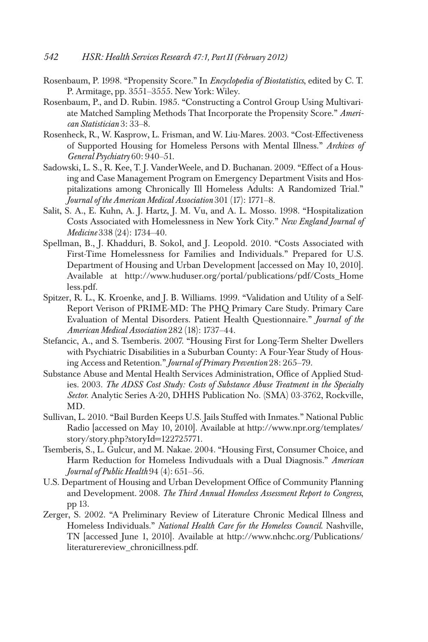- Rosenbaum, P. 1998. "Propensity Score." In Encyclopedia of Biostatistics, edited by C. T. P. Armitage, pp. 3551–3555. New York: Wiley.
- Rosenbaum, P., and D. Rubin. 1985. "Constructing a Control Group Using Multivariate Matched Sampling Methods That Incorporate the Propensity Score." American Statistician 3: 33–8.
- Rosenheck, R., W. Kasprow, L. Frisman, and W. Liu-Mares. 2003. "Cost-Effectiveness of Supported Housing for Homeless Persons with Mental Illness." Archives of General Psychiatry 60: 940–51.
- Sadowski, L. S., R. Kee, T. J. VanderWeele, and D. Buchanan. 2009. "Effect of a Housing and Case Management Program on Emergency Department Visits and Hospitalizations among Chronically Ill Homeless Adults: A Randomized Trial." Journal of the American Medical Association 301 (17): 1771–8.
- Salit, S. A., E. Kuhn, A. J. Hartz, J. M. Vu, and A. L. Mosso. 1998. "Hospitalization Costs Associated with Homelessness in New York City." New England Journal of Medicine 338 (24): 1734–40.
- Spellman, B., J. Khadduri, B. Sokol, and J. Leopold. 2010. "Costs Associated with First-Time Homelessness for Families and Individuals." Prepared for U.S. Department of Housing and Urban Development [accessed on May 10, 2010]. Available at http://www.huduser.org/portal/publications/pdf/Costs\_Home less.pdf.
- Spitzer, R. L., K. Kroenke, and J. B. Williams. 1999. "Validation and Utility of a Self-Report Verison of PRIME-MD: The PHQ Primary Care Study. Primary Care Evaluation of Mental Disorders. Patient Health Questionnaire." Journal of the American Medical Association 282 (18): 1737–44.
- Stefancic, A., and S. Tsemberis. 2007. "Housing First for Long-Term Shelter Dwellers with Psychiatric Disabilities in a Suburban County: A Four-Year Study of Housing Access and Retention." Journal of Primary Prevention 28: 265–79.
- Substance Abuse and Mental Health Services Administration, Office of Applied Studies. 2003. The ADSS Cost Study: Costs of Substance Abuse Treatment in the Specialty Sector. Analytic Series A-20, DHHS Publication No. (SMA) 03-3762, Rockville, MD.
- Sullivan, L. 2010. "Bail Burden Keeps U.S. Jails Stuffed with Inmates." National Public Radio [accessed on May 10, 2010]. Available at http://www.npr.org/templates/ story/story.php?storyId=122725771.
- Tsemberis, S., L. Gulcur, and M. Nakae. 2004. "Housing First, Consumer Choice, and Harm Reduction for Homeless Indivuduals with a Dual Diagnosis." American Journal of Public Health 94 (4): 651–56.
- U.S. Department of Housing and Urban Development Office of Community Planning and Development. 2008. The Third Annual Homeless Assessment Report to Congress, pp 13.
- Zerger, S. 2002. "A Preliminary Review of Literature Chronic Medical Illness and Homeless Individuals." National Health Care for the Homeless Council. Nashville, TN [accessed June 1, 2010]. Available at http://www.nhchc.org/Publications/ literaturereview\_chronicillness.pdf.